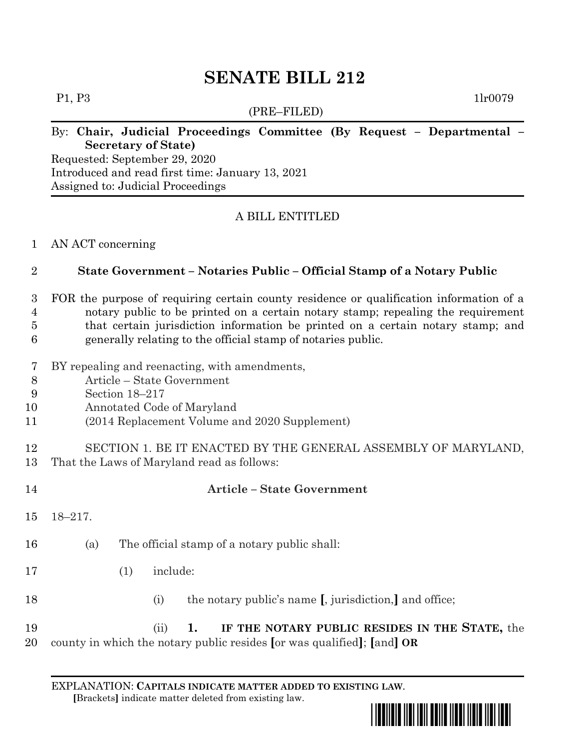# **SENATE BILL 212**

(PRE–FILED)

P1, P3 1lr0079

# By: **Chair, Judicial Proceedings Committee (By Request – Departmental – Secretary of State)**

Requested: September 29, 2020 Introduced and read first time: January 13, 2021 Assigned to: Judicial Proceedings

# A BILL ENTITLED

### AN ACT concerning

## **State Government – Notaries Public – Official Stamp of a Notary Public**

 FOR the purpose of requiring certain county residence or qualification information of a notary public to be printed on a certain notary stamp; repealing the requirement that certain jurisdiction information be printed on a certain notary stamp; and generally relating to the official stamp of notaries public.

- BY repealing and reenacting, with amendments,
- Article State Government
- Section 18–217
- Annotated Code of Maryland
- (2014 Replacement Volume and 2020 Supplement)

### SECTION 1. BE IT ENACTED BY THE GENERAL ASSEMBLY OF MARYLAND, That the Laws of Maryland read as follows:

 **Article – State Government** 18–217. (a) The official stamp of a notary public shall: (1) include: (i) the notary public's name **[**, jurisdiction,**]** and office; (ii) **1. IF THE NOTARY PUBLIC RESIDES IN THE STATE,** the county in which the notary public resides **[**or was qualified**]**; **[**and**] OR**